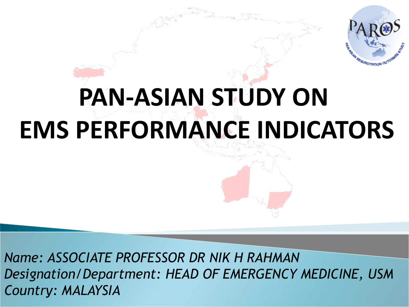

# **PAN-ASIAN STUDY ON EMS PERFORMANCE INDICATORS**

*Name: ASSOCIATE PROFESSOR DR NIK H RAHMAN Designation/Department: HEAD OF EMERGENCY MEDICINE, USM Country: MALAYSIA*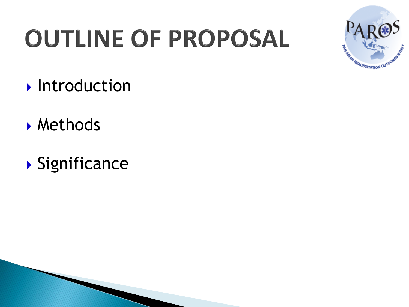# **OUTLINE OF PROPOSAL**



- **Introduction**
- Methods
- Significance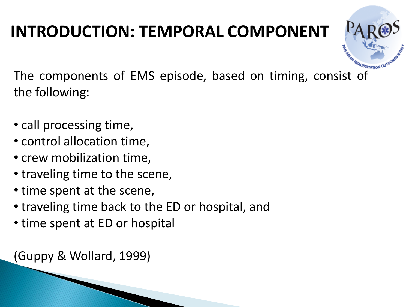# **INTRODUCTION: TEMPORAL COMPONENT**

The components of EMS episode, based on timing, consist of the following:

- call processing time,
- control allocation time,
- crew mobilization time,
- traveling time to the scene,
- time spent at the scene,
- traveling time back to the ED or hospital, and
- time spent at ED or hospital

(Guppy & Wollard, 1999)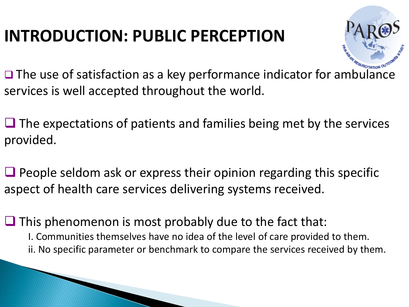## **INTRODUCTION: PUBLIC PERCEPTION**



 $\Box$  The use of satisfaction as a key performance indicator for ambulance services is well accepted throughout the world.

 $\Box$  The expectations of patients and families being met by the services provided.

 $\Box$  People seldom ask or express their opinion regarding this specific aspect of health care services delivering systems received.

 $\Box$  This phenomenon is most probably due to the fact that: I. Communities themselves have no idea of the level of care provided to them. ii. No specific parameter or benchmark to compare the services received by them.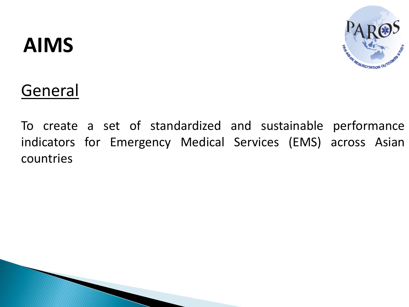# **AIMS**



## General

To create a set of standardized and sustainable performance indicators for Emergency Medical Services (EMS) across Asian countries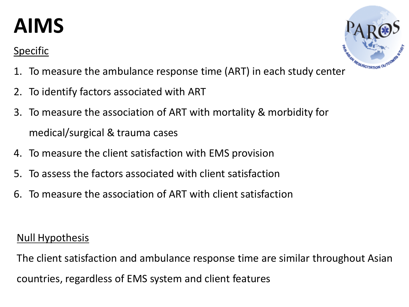# **AIMS**

#### Specific



- 1. To measure the ambulance response time (ART) in each study center
- 2. To identify factors associated with ART
- 3. To measure the association of ART with mortality & morbidity for medical/surgical & trauma cases
- 4. To measure the client satisfaction with EMS provision
- 5. To assess the factors associated with client satisfaction
- 6. To measure the association of ART with client satisfaction

#### **Null Hypothesis**

The client satisfaction and ambulance response time are similar throughout Asian countries, regardless of EMS system and client features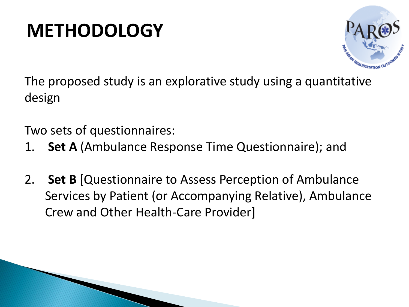# **METHODOLOGY**



The proposed study is an explorative study using a quantitative design

Two sets of questionnaires:

- 1. **Set A** (Ambulance Response Time Questionnaire); and
- 2. **Set B** [Questionnaire to Assess Perception of Ambulance Services by Patient (or Accompanying Relative), Ambulance Crew and Other Health-Care Provider]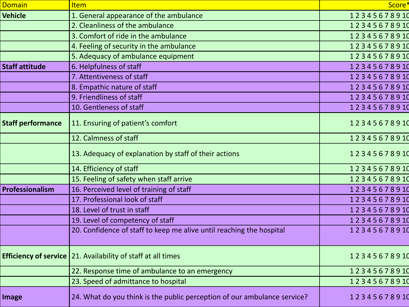| <b>Domain</b>            | <b>Item</b>                                                              | Score*      |
|--------------------------|--------------------------------------------------------------------------|-------------|
| <b>Vehicle</b>           | 1. General appearance of the ambulance                                   | 12345678910 |
|                          | 2. Cleanliness of the ambulance                                          | 12345678910 |
|                          | 3. Comfort of ride in the ambulance                                      | 12345678910 |
|                          | 4. Feeling of security in the ambulance                                  | 12345678910 |
|                          | 5. Adequacy of ambulance equipment                                       | 12345678910 |
| <b>Staff attitude</b>    | 6. Helpfulness of staff                                                  | 12345678910 |
|                          | 7. Attentiveness of staff                                                | 12345678910 |
|                          | 8. Empathic nature of staff                                              | 12345678910 |
|                          | 9. Friendliness of staff                                                 | 12345678910 |
|                          | 10. Gentleness of staff                                                  | 12345678910 |
| <b>Staff performance</b> | 11. Ensuring of patient's comfort                                        | 12345678910 |
|                          | 12. Calmness of staff                                                    | 12345678910 |
|                          | 13. Adequacy of explanation by staff of their actions                    | 12345678910 |
|                          | 14. Efficiency of staff                                                  | 12345678910 |
|                          | 15. Feeling of safety when staff arrive                                  | 12345678910 |
| Professionalism          | 16. Perceived level of training of staff                                 | 12345678910 |
|                          | 17. Professional look of staff                                           | 12345678910 |
|                          | 18. Level of trust in staff                                              | 12345678910 |
|                          | 19. Level of competency of staff                                         | 12345678910 |
|                          | 20. Confidence of staff to keep me alive until reaching the hospital     | 12345678910 |
|                          |                                                                          |             |
|                          | <b>Efficiency of service</b>   21. Availability of staff at all times    | 12345678910 |
|                          | 22. Response time of ambulance to an emergency                           | 12345678910 |
|                          | 23. Speed of admittance to hospital                                      | 12345678910 |
| <b>Image</b>             | 24. What do you think is the public perception of our ambulance service? | 12345678910 |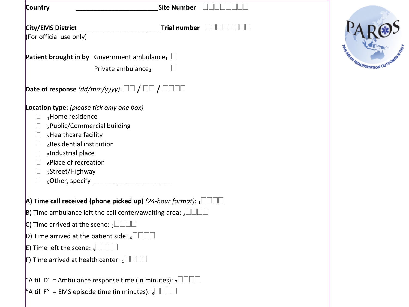| <b>City/EMS District</b>                                   | <b>Trial number</b>                                                                       |
|------------------------------------------------------------|-------------------------------------------------------------------------------------------|
| (For official use only)                                    |                                                                                           |
|                                                            | <b>Patient brought in by</b> Government ambulance, $\Box$                                 |
|                                                            | Private ambulance,                                                                        |
|                                                            | <b>Date of response</b> (dd/mm/yyyy): $\Box\Box$ / $\Box\Box$ / $\Box\Box\Box$            |
| Location type: (please tick only one box)                  |                                                                                           |
| 1Home residence<br>$\mathbf{L}$                            |                                                                                           |
| 2Public/Commercial building<br>$\Box$                      |                                                                                           |
| 3Healthcare facility<br>$\Box$<br>4Residential institution |                                                                                           |
| $\Box$<br>sIndustrial place<br>$\Box$                      |                                                                                           |
| $_6$ Place of recreation<br>$\Box$                         |                                                                                           |
| $\Box$ <sub>7</sub> Street/Highway                         |                                                                                           |
| $\Box$                                                     | <sub>8</sub> Other, specify _____________________                                         |
|                                                            | <b>A)</b> Time call received (phone picked up) <i>(24-hour format)</i> : $_1\Box\Box\Box$ |
|                                                            | B) Time ambulance left the call center/awaiting area: $_2$                                |
| C) Time arrived at the scene: $_3$                         |                                                                                           |
|                                                            | <b>D)</b> Time arrived at the patient side: $_4$                                          |
| <b>E)</b> Time left the scene: $5$                         |                                                                                           |
| <b>F)</b> Time arrived at health center: $_6$ <b>THE</b>   |                                                                                           |
|                                                            | "A till D" = Ambulance response time (in minutes): $7\Box$                                |
|                                                            | "A till F" = EMS episode time (in minutes): $_8\Box\Box\Box$                              |

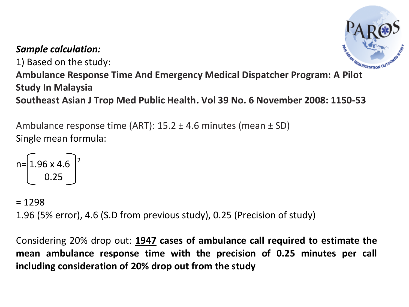#### *Sample calculation:*

1) Based on the study:



**Ambulance Response Time And Emergency Medical Dispatcher Program: A Pilot Study In Malaysia**

**Southeast Asian J Trop Med Public Health. Vol 39 No. 6 November 2008: 1150-53**

Ambulance response time (ART):  $15.2 \pm 4.6$  minutes (mean  $\pm$  SD) Single mean formula:

$$
n = \underbrace{1.96 \times 4.6}_{0.25} \bigg)^2
$$

 $= 1298$ 

1.96 (5% error), 4.6 (S.D from previous study), 0.25 (Precision of study)

Considering 20% drop out: **1947 cases of ambulance call required to estimate the mean ambulance response time with the precision of 0.25 minutes per call including consideration of 20% drop out from the study**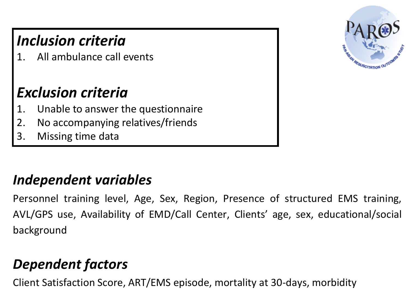## *Inclusion criteria*

All ambulance call events

### *Exclusion criteria*

- 1. Unable to answer the questionnaire
- 2. No accompanying relatives/friends
- 3. Missing time data

#### *Independent variables*

Personnel training level, Age, Sex, Region, Presence of structured EMS training, AVL/GPS use, Availability of EMD/Call Center, Clients' age, sex, educational/social background

### *Dependent factors*

Client Satisfaction Score, ART/EMS episode, mortality at 30-days, morbidity

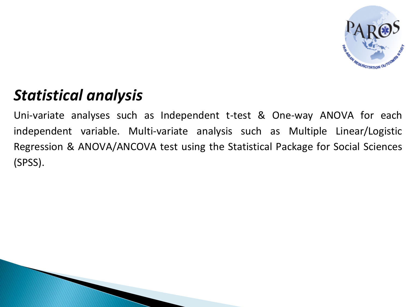

### *Statistical analysis*

Uni-variate analyses such as Independent t-test & One-way ANOVA for each independent variable. Multi-variate analysis such as Multiple Linear/Logistic Regression & ANOVA/ANCOVA test using the Statistical Package for Social Sciences (SPSS).